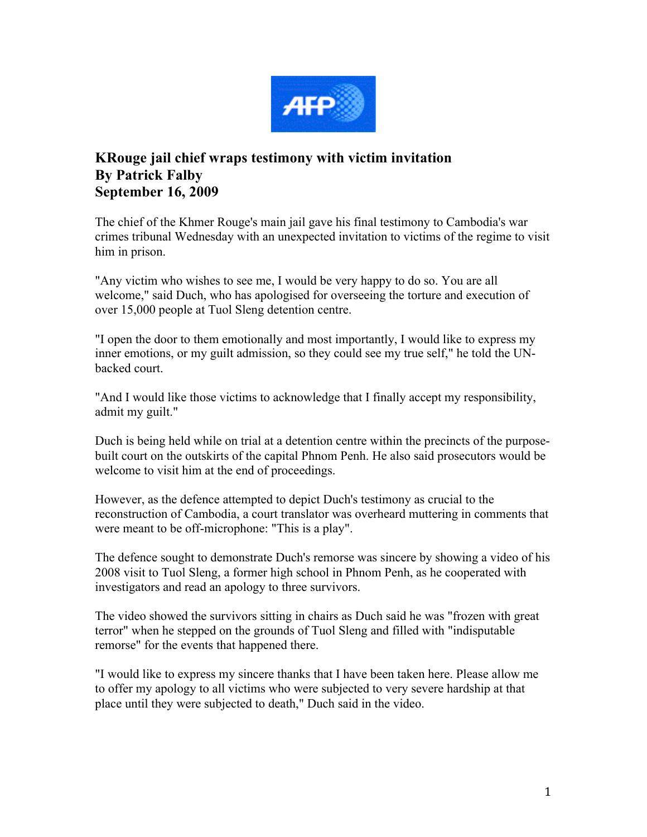

## **KRouge jail chief wraps testimony with victim invitation By Patrick Falby September 16, 2009**

The chief of the Khmer Rouge's main jail gave his final testimony to Cambodia's war crimes tribunal Wednesday with an unexpected invitation to victims of the regime to visit him in prison.

"Any victim who wishes to see me, I would be very happy to do so. You are all welcome," said Duch, who has apologised for overseeing the torture and execution of over 15,000 people at Tuol Sleng detention centre.

"I open the door to them emotionally and most importantly, I would like to express my inner emotions, or my guilt admission, so they could see my true self," he told the UNbacked court.

"And I would like those victims to acknowledge that I finally accept my responsibility, admit my guilt."

Duch is being held while on trial at a detention centre within the precincts of the purposebuilt court on the outskirts of the capital Phnom Penh. He also said prosecutors would be welcome to visit him at the end of proceedings.

However, as the defence attempted to depict Duch's testimony as crucial to the reconstruction of Cambodia, a court translator was overheard muttering in comments that were meant to be off-microphone: "This is a play".

The defence sought to demonstrate Duch's remorse was sincere by showing a video of his 2008 visit to Tuol Sleng, a former high school in Phnom Penh, as he cooperated with investigators and read an apology to three survivors.

The video showed the survivors sitting in chairs as Duch said he was "frozen with great terror" when he stepped on the grounds of Tuol Sleng and filled with "indisputable remorse" for the events that happened there.

"I would like to express my sincere thanks that I have been taken here. Please allow me to offer my apology to all victims who were subjected to very severe hardship at that place until they were subjected to death," Duch said in the video.